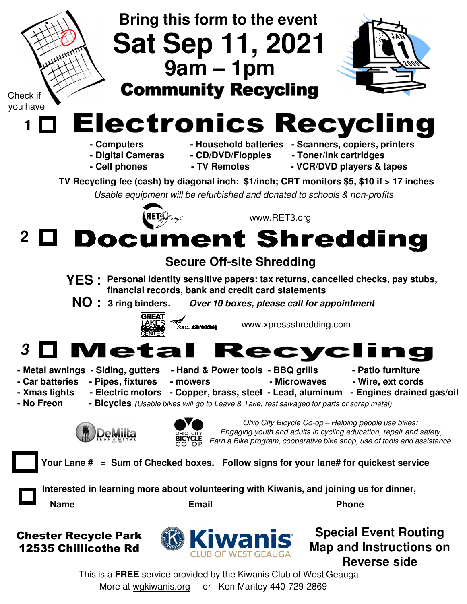

This is a **FREE** service provided by the Kiwanis Club of West Geauga More at wgkiwanis.org or Ken Mantey 440-729-2869